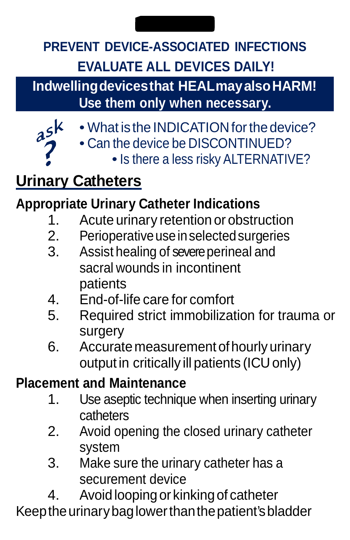## **PREVENT DEVICE-ASSOCIATED INFECTIONS EVALUATE ALL DEVICES DAILY!**

**Indwellingdevicesthat HEALmayalsoHARM! Use them only when necessary.**

- $a^{5k}$
- What is the INDICATION for the device?
- Can the device be DISCONTINUED?
	- Is there a less risky ALTERNATIVE?

# **Urinary Catheters**

### **Appropriate Urinary Catheter Indications**

- 1. Acute urinary retention or obstruction<br>2. Perioperative use in selected surgeries
- 2. Perioperative use in selected surgeries<br>3. Assist healing of severe perineal and
- Assist healing of severe perineal and sacral wounds in incontinent patients
- 4. End-of-life care for comfort<br>5. Required strict immobilization
- 5. Required strict immobilization for trauma or surgery
- 6. Accuratemeasurement ofhourly urinary output in critically ill patients (ICU only)

### **Placement and Maintenance**

- 1. Use aseptic technique when inserting urinary cathatars
- 2. Avoid opening the closed urinary catheter system
- 3. Make sure the urinary catheter has a securement device
- 4. Avoidloopingor kinkingof catheter Keep the urinary bag lower than the patient's bladder